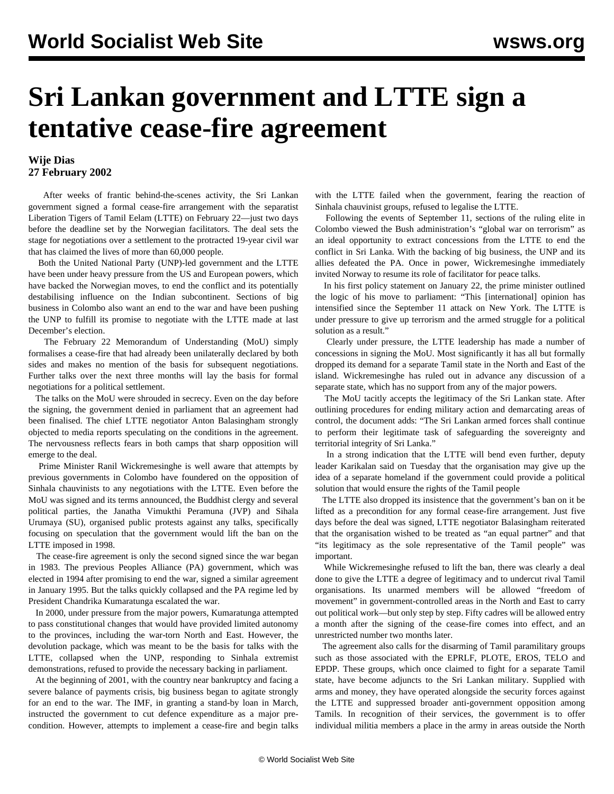## **Sri Lankan government and LTTE sign a tentative cease-fire agreement**

## **Wije Dias 27 February 2002**

 After weeks of frantic behind-the-scenes activity, the Sri Lankan government signed a formal cease-fire arrangement with the separatist Liberation Tigers of Tamil Eelam (LTTE) on February 22—just two days before the deadline set by the Norwegian facilitators. The deal sets the stage for negotiations over a settlement to the protracted 19-year civil war that has claimed the lives of more than 60,000 people.

 Both the United National Party (UNP)-led government and the LTTE have been under heavy pressure from the US and European powers, which have backed the Norwegian moves, to end the conflict and its potentially destabilising influence on the Indian subcontinent. Sections of big business in Colombo also want an end to the war and have been pushing the UNP to fulfill its promise to negotiate with the LTTE made at last December's election.

 The February 22 Memorandum of Understanding (MoU) simply formalises a cease-fire that had already been unilaterally declared by both sides and makes no mention of the basis for subsequent negotiations. Further talks over the next three months will lay the basis for formal negotiations for a political settlement.

 The talks on the MoU were shrouded in secrecy. Even on the day before the signing, the government denied in parliament that an agreement had been finalised. The chief LTTE negotiator Anton Balasingham strongly objected to media reports speculating on the conditions in the agreement. The nervousness reflects fears in both camps that sharp opposition will emerge to the deal.

 Prime Minister Ranil Wickremesinghe is well aware that attempts by previous governments in Colombo have foundered on the opposition of Sinhala chauvinists to any negotiations with the LTTE. Even before the MoU was signed and its terms announced, the Buddhist clergy and several political parties, the Janatha Vimukthi Peramuna (JVP) and Sihala Urumaya (SU), organised public protests against any talks, specifically focusing on speculation that the government would lift the ban on the LTTE imposed in 1998.

 The cease-fire agreement is only the second signed since the war began in 1983. The previous Peoples Alliance (PA) government, which was elected in 1994 after promising to end the war, signed a similar agreement in January 1995. But the talks quickly collapsed and the PA regime led by President Chandrika Kumaratunga escalated the war.

 In 2000, under pressure from the major powers, Kumaratunga attempted to pass constitutional changes that would have provided limited autonomy to the provinces, including the war-torn North and East. However, the devolution package, which was meant to be the basis for talks with the LTTE, collapsed when the UNP, responding to Sinhala extremist demonstrations, refused to provide the necessary backing in parliament.

 At the beginning of 2001, with the country near bankruptcy and facing a severe balance of payments crisis, big business began to agitate strongly for an end to the war. The IMF, in granting a stand-by loan in March, instructed the government to cut defence expenditure as a major precondition. However, attempts to implement a cease-fire and begin talks with the LTTE failed when the government, fearing the reaction of Sinhala chauvinist groups, refused to legalise the LTTE.

 Following the events of September 11, sections of the ruling elite in Colombo viewed the Bush administration's "global war on terrorism" as an ideal opportunity to extract concessions from the LTTE to end the conflict in Sri Lanka. With the backing of big business, the UNP and its allies defeated the PA. Once in power, Wickremesinghe immediately invited Norway to resume its role of facilitator for peace talks.

 In his first policy statement on January 22, the prime minister outlined the logic of his move to parliament: "This [international] opinion has intensified since the September 11 attack on New York. The LTTE is under pressure to give up terrorism and the armed struggle for a political solution as a result."

 Clearly under pressure, the LTTE leadership has made a number of concessions in signing the MoU. Most significantly it has all but formally dropped its demand for a separate Tamil state in the North and East of the island. Wickremesinghe has ruled out in advance any discussion of a separate state, which has no support from any of the major powers.

 The MoU tacitly accepts the legitimacy of the Sri Lankan state. After outlining procedures for ending military action and demarcating areas of control, the document adds: "The Sri Lankan armed forces shall continue to perform their legitimate task of safeguarding the sovereignty and territorial integrity of Sri Lanka."

 In a strong indication that the LTTE will bend even further, deputy leader Karikalan said on Tuesday that the organisation may give up the idea of a separate homeland if the government could provide a political solution that would ensure the rights of the Tamil people

 The LTTE also dropped its insistence that the government's ban on it be lifted as a precondition for any formal cease-fire arrangement. Just five days before the deal was signed, LTTE negotiator Balasingham reiterated that the organisation wished to be treated as "an equal partner" and that "its legitimacy as the sole representative of the Tamil people" was important.

 While Wickremesinghe refused to lift the ban, there was clearly a deal done to give the LTTE a degree of legitimacy and to undercut rival Tamil organisations. Its unarmed members will be allowed "freedom of movement" in government-controlled areas in the North and East to carry out political work—but only step by step. Fifty cadres will be allowed entry a month after the signing of the cease-fire comes into effect, and an unrestricted number two months later.

 The agreement also calls for the disarming of Tamil paramilitary groups such as those associated with the EPRLF, PLOTE, EROS, TELO and EPDP. These groups, which once claimed to fight for a separate Tamil state, have become adjuncts to the Sri Lankan military. Supplied with arms and money, they have operated alongside the security forces against the LTTE and suppressed broader anti-government opposition among Tamils. In recognition of their services, the government is to offer individual militia members a place in the army in areas outside the North